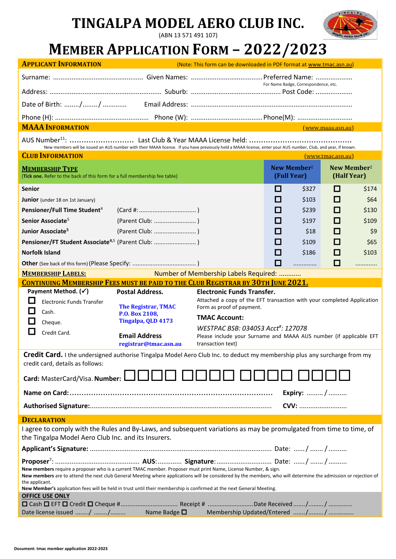# **TINGALPA MODEL AERO CLUB INC.**

(ABN 13 571 491 107)



# **MEMBER APPLICATION FORM – 2022/2023**

| <b>APPLICANT INFORMATION</b>                                                                                                                                                                                                                                                                                                                                                                                               | (Note: This form can be downloaded in PDF format at www.tmac.asn.au)                                                                          |                                                                                                                                                                                                                                                                                                  |                   |       |            |       |  |  |  |  |
|----------------------------------------------------------------------------------------------------------------------------------------------------------------------------------------------------------------------------------------------------------------------------------------------------------------------------------------------------------------------------------------------------------------------------|-----------------------------------------------------------------------------------------------------------------------------------------------|--------------------------------------------------------------------------------------------------------------------------------------------------------------------------------------------------------------------------------------------------------------------------------------------------|-------------------|-------|------------|-------|--|--|--|--|
|                                                                                                                                                                                                                                                                                                                                                                                                                            |                                                                                                                                               |                                                                                                                                                                                                                                                                                                  |                   |       |            |       |  |  |  |  |
|                                                                                                                                                                                                                                                                                                                                                                                                                            |                                                                                                                                               | For Name Badge, Correspondence, etc.                                                                                                                                                                                                                                                             |                   |       |            |       |  |  |  |  |
|                                                                                                                                                                                                                                                                                                                                                                                                                            |                                                                                                                                               |                                                                                                                                                                                                                                                                                                  |                   |       |            |       |  |  |  |  |
|                                                                                                                                                                                                                                                                                                                                                                                                                            |                                                                                                                                               |                                                                                                                                                                                                                                                                                                  |                   |       |            |       |  |  |  |  |
| <b>MAAA INFORMATION</b><br>(www.maca.asn.au)<br><b>CONTRACTOR</b>                                                                                                                                                                                                                                                                                                                                                          |                                                                                                                                               |                                                                                                                                                                                                                                                                                                  |                   |       |            |       |  |  |  |  |
| New members will be issued an AUS number with their MAAA license. If you have previously held a MAAA license, enter your AUS number, Club, and year, if known.                                                                                                                                                                                                                                                             |                                                                                                                                               |                                                                                                                                                                                                                                                                                                  |                   |       |            |       |  |  |  |  |
| <b>CLUB INFORMATION</b>                                                                                                                                                                                                                                                                                                                                                                                                    |                                                                                                                                               |                                                                                                                                                                                                                                                                                                  | (www.tmac.asn.au) |       |            |       |  |  |  |  |
| <b>MEMBERSHIP TYPE</b><br>(Tick one. Refer to the back of this form for a full membership fee table)                                                                                                                                                                                                                                                                                                                       | <b>New Member<sup>2</sup></b><br>New Member <sup>2</sup><br>(Full Year)<br>(Half Year)                                                        |                                                                                                                                                                                                                                                                                                  |                   |       |            |       |  |  |  |  |
| <b>Senior</b>                                                                                                                                                                                                                                                                                                                                                                                                              |                                                                                                                                               |                                                                                                                                                                                                                                                                                                  | $\sim$            | \$327 | П          | \$174 |  |  |  |  |
| <b>Junior</b> (under 18 on 1st January)                                                                                                                                                                                                                                                                                                                                                                                    |                                                                                                                                               |                                                                                                                                                                                                                                                                                                  | Ш                 | \$103 | $\Box$     | \$64  |  |  |  |  |
| Pensioner/Full Time Student <sup>4</sup>                                                                                                                                                                                                                                                                                                                                                                                   |                                                                                                                                               |                                                                                                                                                                                                                                                                                                  | l 1               | \$239 | I I        | \$130 |  |  |  |  |
| Senior Associate <sup>5</sup>                                                                                                                                                                                                                                                                                                                                                                                              |                                                                                                                                               |                                                                                                                                                                                                                                                                                                  | n an              | \$197 | <b>COL</b> | \$109 |  |  |  |  |
| Junior Associate <sup>5</sup>                                                                                                                                                                                                                                                                                                                                                                                              |                                                                                                                                               |                                                                                                                                                                                                                                                                                                  | Ш                 | \$18  | l.         | \$9   |  |  |  |  |
| Pensioner/FT Student Associate <sup>4,5</sup> (Parent Club: )                                                                                                                                                                                                                                                                                                                                                              |                                                                                                                                               |                                                                                                                                                                                                                                                                                                  | n an              | \$109 | I I        | \$65  |  |  |  |  |
| <b>Norfolk Island</b>                                                                                                                                                                                                                                                                                                                                                                                                      |                                                                                                                                               |                                                                                                                                                                                                                                                                                                  | П                 | \$186 | П          | \$103 |  |  |  |  |
|                                                                                                                                                                                                                                                                                                                                                                                                                            |                                                                                                                                               |                                                                                                                                                                                                                                                                                                  | □                 | .     | □          |       |  |  |  |  |
| Number of Membership Labels Required:<br><b>MEMBERSHIP LABELS:</b>                                                                                                                                                                                                                                                                                                                                                         |                                                                                                                                               |                                                                                                                                                                                                                                                                                                  |                   |       |            |       |  |  |  |  |
| <b>CONTINUING MEMBERSHIP FEES MUST BE PAID TO THE CLUB REGISTRAR BY 30TH JUNE 2021.</b>                                                                                                                                                                                                                                                                                                                                    |                                                                                                                                               |                                                                                                                                                                                                                                                                                                  |                   |       |            |       |  |  |  |  |
| Payment Method. $(\checkmark)$<br><b>Electronic Funds Transfer</b><br>Cash.<br>Cheque.<br>Credit Card.                                                                                                                                                                                                                                                                                                                     | <b>Postal Address.</b><br><b>The Registrar, TMAC</b><br>P.O. Box 2108,<br>Tingalpa, QLD 4173<br><b>Email Address</b><br>registrar@tmac.asn.au | <b>Electronic Funds Transfer.</b><br>Attached a copy of the EFT transaction with your completed Application<br>Form as proof of payment.<br><b>TMAC Account:</b><br>WESTPAC BSB: 034053 Acct#: 127078<br>Please include your Surname and MAAA AUS number (if applicable EFT<br>transaction text) |                   |       |            |       |  |  |  |  |
| Credit Card. I the undersigned authorise Tingalpa Model Aero Club Inc. to deduct my membership plus any surcharge from my<br>credit card, details as follows:                                                                                                                                                                                                                                                              |                                                                                                                                               |                                                                                                                                                                                                                                                                                                  |                   |       |            |       |  |  |  |  |
| Card: MasterCard/Visa. Number: $\Box$                                                                                                                                                                                                                                                                                                                                                                                      |                                                                                                                                               |                                                                                                                                                                                                                                                                                                  |                   |       |            |       |  |  |  |  |
| <b>Expiry:</b> /                                                                                                                                                                                                                                                                                                                                                                                                           |                                                                                                                                               |                                                                                                                                                                                                                                                                                                  |                   |       |            |       |  |  |  |  |
|                                                                                                                                                                                                                                                                                                                                                                                                                            |                                                                                                                                               |                                                                                                                                                                                                                                                                                                  |                   | CVV:  |            |       |  |  |  |  |
| <b>DECLARATION</b>                                                                                                                                                                                                                                                                                                                                                                                                         |                                                                                                                                               |                                                                                                                                                                                                                                                                                                  |                   |       |            |       |  |  |  |  |
| I agree to comply with the Rules and By-Laws, and subsequent variations as may be promulgated from time to time, of<br>the Tingalpa Model Aero Club Inc. and its Insurers.                                                                                                                                                                                                                                                 |                                                                                                                                               |                                                                                                                                                                                                                                                                                                  |                   |       |            |       |  |  |  |  |
|                                                                                                                                                                                                                                                                                                                                                                                                                            |                                                                                                                                               |                                                                                                                                                                                                                                                                                                  |                   |       |            |       |  |  |  |  |
| New members require a proposer who is a current TMAC member. Proposer must print Name, License Number, & sign.<br>New members are to attend the next club General Meeting where applications will be considered by the members, who will determine the admission or rejection of<br>the applicant.<br>New Member's application fees will be held in trust until their membership is confirmed at the next General Meeting. |                                                                                                                                               |                                                                                                                                                                                                                                                                                                  |                   |       |            |       |  |  |  |  |
| <b>OFFICE USE ONLY</b><br>Date license issued / /  Name Badge □                                                                                                                                                                                                                                                                                                                                                            |                                                                                                                                               |                                                                                                                                                                                                                                                                                                  |                   |       |            |       |  |  |  |  |